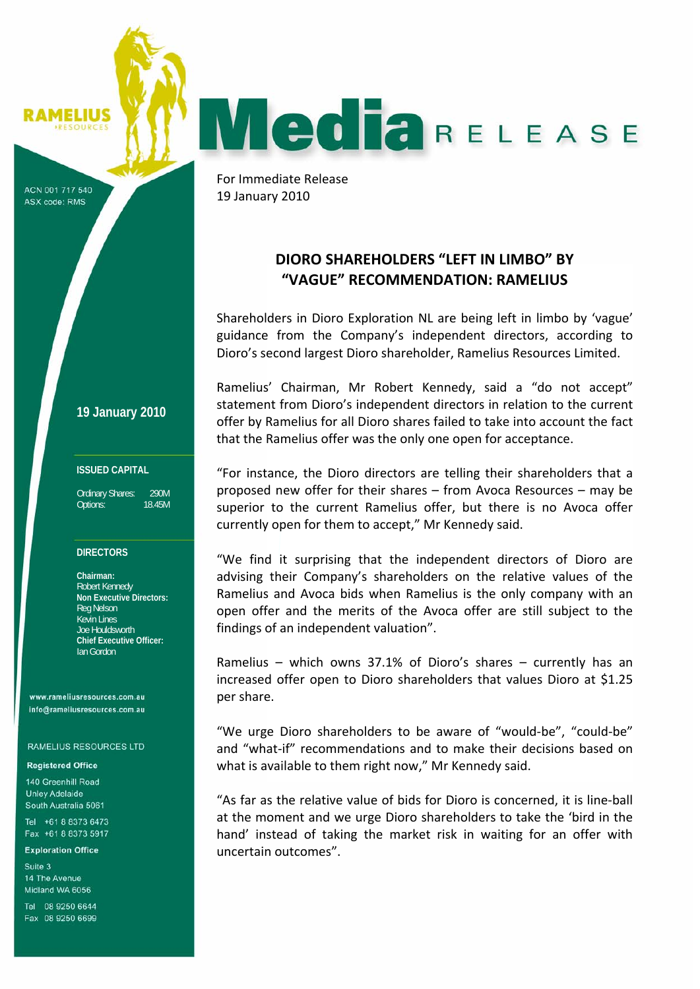SOURCES

**IMELIUS** 

**MediaRELEASE** 

ACN 001 717 540 ASX code: RMS

**19 January 2010**

### **ISSUED CAPITAL**

Ordinary Shares: 290M Options: 18.45M

#### **DIRECTORS**

**Chairman:**  Robert Kennedy **Non Executive Directors:**  Reg Nelson Kevin Lines Joe Houldsworth **Chief Executive Officer:**  Ian Gordon

www.rameliusresources.com.au info@rameliusresources.com.au

**RAMELIUS RESOURCES LTD** 

#### **Registered Office**

140 Greenhill Road **Unley Adelaide** South Australia 5061 Tel +61 8 8373 6473

Fax +61 8 8373 5917

**Exploration Office** 

Suite 3 14 The Avenue Midland WA 6056

Tel 08 9250 6644 Fax 08 9250 6699

For Immediate Release 19 January 2010

# **DIORO SHAREHOLDERS "LEFT IN LIMBO" BY "VAGUE" RECOMMENDATION: RAMELIUS**

Shareholders in Dioro Exploration NL are being left in limbo by 'vague' guidance from the Company's independent directors, according to Dioro's second largest Dioro shareholder, Ramelius Resources Limited.

Ramelius' Chairman, Mr Robert Kennedy, said a "do not accept" statement from Dioro's independent directors in relation to the current offer by Ramelius for all Dioro shares failed to take into account the fact that the Ramelius offer was the only one open for acceptance.

"For instance, the Dioro directors are telling their shareholders that a proposed new offer for their shares – from Avoca Resources – may be superior to the current Ramelius offer, but there is no Avoca offer currently open for them to accept," Mr Kennedy said.

"We find it surprising that the independent directors of Dioro are advising their Company's shareholders on the relative values of the Ramelius and Avoca bids when Ramelius is the only company with an open offer and the merits of the Avoca offer are still subject to the findings of an independent valuation".

Ramelius – which owns 37.1% of Dioro's shares – currently has an increased offer open to Dioro shareholders that values Dioro at \$1.25 per share.

"We urge Dioro shareholders to be aware of "would‐be", "could‐be" and "what‐if" recommendations and to make their decisions based on what is available to them right now," Mr Kennedy said.

"As far as the relative value of bids for Dioro is concerned, it is line‐ball at the moment and we urge Dioro shareholders to take the 'bird in the hand' instead of taking the market risk in waiting for an offer with uncertain outcomes".